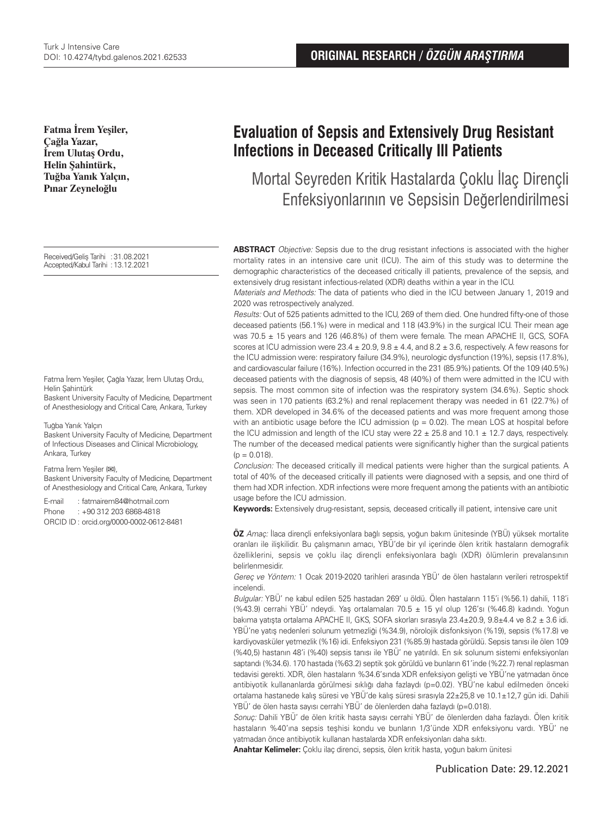**Fatma İrem Yeşiler, Çağla Yazar, İrem Ulutaş Ordu, Helin Şahintürk, Tuğba Yanık Yalçın,** 

Received/Gelis Tarihi : 31.08.2021 Accepted/Kabul Tarihi :13.12.2021

Fatma İrem Yeşiler, Çağla Yazar, İrem Ulutaş Ordu, Helin Şahintürk

Baskent University Faculty of Medicine, Department of Anesthesiology and Critical Care, Ankara, Turkey

#### Tuğba Yanık Yalçın

Baskent University Faculty of Medicine, Department of Infectious Diseases and Clinical Microbiology, Ankara, Turkey

#### Fatma İrem Yeşiler (**✉**),

Baskent University Faculty of Medicine, Department of Anesthesiology and Critical Care, Ankara, Turkey

E-mail : fatmairem84@hotmail.com Phone : +90 312 203 6868-4818 ORCID ID : orcid.org/0000-0002-0612-8481

# **Evaluation of Sepsis and Extensively Drug Resistant Infections in Deceased Critically Ill Patients**

**Pınar Zeyneloğlu** Mortal Seyreden Kritik Hastalarda Çoklu İlaç Dirençli Enfeksiyonlarının ve Sepsisin Değerlendirilmesi

> **ABSTRACT** Objective: Sepsis due to the drug resistant infections is associated with the higher mortality rates in an intensive care unit (ICU). The aim of this study was to determine the demographic characteristics of the deceased critically ill patients, prevalence of the sepsis, and extensively drug resistant infectious-related (XDR) deaths within a year in the ICU.

> Materials and Methods: The data of patients who died in the ICU between January 1, 2019 and 2020 was retrospectively analyzed.

> Results: Out of 525 patients admitted to the ICU, 269 of them died. One hundred fifty-one of those deceased patients (56.1%) were in medical and 118 (43.9%) in the surgical ICU. Their mean age was  $70.5 \pm 15$  years and  $126$  (46.8%) of them were female. The mean APACHE II, GCS, SOFA scores at ICU admission were  $23.4 \pm 20.9$ ,  $9.8 \pm 4.4$ , and  $8.2 \pm 3.6$ , respectively. A few reasons for the ICU admission were: respiratory failure (34.9%), neurologic dysfunction (19%), sepsis (17.8%), and cardiovascular failure (16%). Infection occurred in the 231 (85.9%) patients. Of the 109 (40.5%) deceased patients with the diagnosis of sepsis, 48 (40%) of them were admitted in the ICU with sepsis. The most common site of infection was the respiratory system (34.6%). Septic shock was seen in 170 patients (63.2%) and renal replacement therapy was needed in 61 (22.7%) of them. XDR developed in 34.6% of the deceased patients and was more frequent among those with an antibiotic usage before the ICU admission ( $p = 0.02$ ). The mean LOS at hospital before the ICU admission and length of the ICU stay were  $22 \pm 25.8$  and  $10.1 \pm 12.7$  days, respectively. The number of the deceased medical patients were significantly higher than the surgical patients  $(p = 0.018)$ .

> Conclusion: The deceased critically ill medical patients were higher than the surgical patients. A total of 40% of the deceased critically ill patients were diagnosed with a sepsis, and one third of them had XDR infection. XDR infections were more frequent among the patients with an antibiotic usage before the ICU admission.

**Keywords:** Extensively drug-resistant, sepsis, deceased critically ill patient, intensive care unit

**ÖZ** Amaç: İlaca dirençli enfeksiyonlara bağlı sepsis, yoğun bakım ünitesinde (YBÜ) yüksek mortalite oranları ile ilişkilidir. Bu çalışmanın amacı, YBÜ'de bir yıl içerinde ölen kritik hastaların demografik özelliklerini, sepsis ve çoklu ilaç dirençli enfeksiyonlara bağlı (XDR) ölümlerin prevalansının belirlenmesidir.

Gereç ve Yöntem: 1 Ocak 2019-2020 tarihleri arasında YBÜ' de ölen hastaların verileri retrospektif incelendi.

Bulgular: YBÜ' ne kabul edilen 525 hastadan 269' u öldü. Ölen hastaların 115'i (%56.1) dahili, 118'i (%43.9) cerrahi YBÜ' ndeydi. Yaş ortalamaları 70.5 ± 15 yıl olup 126'sı (%46.8) kadındı. Yoğun bakıma yatışta ortalama APACHE II, GKS, SOFA skorları sırasıyla 23.4±20.9, 9.8±4.4 ve 8.2 ± 3.6 idi. YBÜ'ne yatış nedenleri solunum yetmezliği (%34.9), nörolojik disfonksiyon (%19), sepsis (%17.8) ve kardiyovasküler yetmezlik (%16) idi. Enfeksiyon 231 (%85.9) hastada görüldü. Sepsis tanısı ile ölen 109 (%40,5) hastanın 48'i (%40) sepsis tanısı ile YBÜ' ne yatırıldı. En sık solunum sistemi enfeksiyonları saptandı (%34.6). 170 hastada (%63.2) septik şok görüldü ve bunların 61'inde (%22.7) renal replasman tedavisi gerekti. XDR, ölen hastaların %34.6'sında XDR enfeksiyon gelişti ve YBÜ'ne yatmadan önce antibiyotik kullananlarda görülmesi sıklığı daha fazlaydı (p=0.02). YBÜ'ne kabul edilmeden önceki ortalama hastanede kalış süresi ve YBÜ'de kalış süresi sırasıyla 22±25,8 ve 10.1±12,7 gün idi. Dahili YBÜ' de ölen hasta sayısı cerrahi YBÜ' de ölenlerden daha fazlaydı (p=0.018).

Sonuç: Dahili YBÜ' de ölen kritik hasta sayısı cerrahi YBÜ' de ölenlerden daha fazlaydı. Ölen kritik hastaların %40'ına sepsis teşhisi kondu ve bunların 1/3'ünde XDR enfeksiyonu vardı. YBÜ' ne yatmadan önce antibiyotik kullanan hastalarda XDR enfeksiyonları daha sıktı.

**Anahtar Kelimeler:** Çoklu ilaç direnci, sepsis, ölen kritik hasta, yoğun bakım ünitesi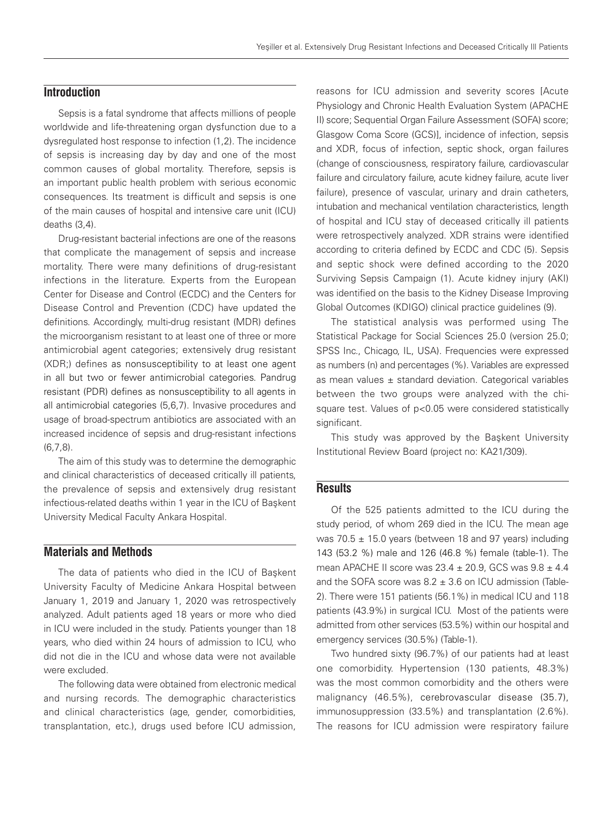## **Introduction**

Sepsis is a fatal syndrome that affects millions of people worldwide and life-threatening organ dysfunction due to a dysregulated host response to infection (1,2). The incidence of sepsis is increasing day by day and one of the most common causes of global mortality. Therefore, sepsis is an important public health problem with serious economic consequences. Its treatment is difficult and sepsis is one of the main causes of hospital and intensive care unit (ICU) deaths (3,4).

Drug-resistant bacterial infections are one of the reasons that complicate the management of sepsis and increase mortality. There were many definitions of drug-resistant infections in the literature. Experts from the European Center for Disease and Control (ECDC) and the Centers for Disease Control and Prevention (CDC) have updated the definitions. Accordingly, multi-drug resistant (MDR) defines the microorganism resistant to at least one of three or more antimicrobial agent categories; extensively drug resistant (XDR;) defines as nonsusceptibility to at least one agent in all but two or fewer antimicrobial categories. Pandrug resistant (PDR) defines as nonsusceptibility to all agents in all antimicrobial categories (5,6,7). Invasive procedures and usage of broad-spectrum antibiotics are associated with an increased incidence of sepsis and drug-resistant infections (6,7,8).

The aim of this study was to determine the demographic and clinical characteristics of deceased critically ill patients, the prevalence of sepsis and extensively drug resistant infectious-related deaths within 1 year in the ICU of Başkent University Medical Faculty Ankara Hospital.

# **Materials and Methods**

The data of patients who died in the ICU of Başkent University Faculty of Medicine Ankara Hospital between January 1, 2019 and January 1, 2020 was retrospectively analyzed. Adult patients aged 18 years or more who died in ICU were included in the study. Patients younger than 18 years, who died within 24 hours of admission to ICU, who did not die in the ICU and whose data were not available were excluded.

The following data were obtained from electronic medical and nursing records. The demographic characteristics and clinical characteristics (age, gender, comorbidities, transplantation, etc.), drugs used before ICU admission,

reasons for ICU admission and severity scores [Acute Physiology and Chronic Health Evaluation System (APACHE II) score; Sequential Organ Failure Assessment (SOFA) score; Glasgow Coma Score (GCS)], incidence of infection, sepsis and XDR, focus of infection, septic shock, organ failures (change of consciousness, respiratory failure, cardiovascular failure and circulatory failure, acute kidney failure, acute liver failure), presence of vascular, urinary and drain catheters, intubation and mechanical ventilation characteristics, length of hospital and ICU stay of deceased critically ill patients were retrospectively analyzed. XDR strains were identified according to criteria defined by ECDC and CDC (5). Sepsis and septic shock were defined according to the 2020 Surviving Sepsis Campaign (1). Acute kidney injury (AKI) was identified on the basis to the Kidney Disease Improving Global Outcomes (KDIGO) clinical practice guidelines (9).

The statistical analysis was performed using The Statistical Package for Social Sciences 25.0 (version 25.0; SPSS Inc., Chicago, IL, USA). Frequencies were expressed as numbers (n) and percentages (%). Variables are expressed as mean values  $\pm$  standard deviation. Categorical variables between the two groups were analyzed with the chisquare test. Values of p<0.05 were considered statistically significant.

This study was approved by the Başkent University Institutional Review Board (project no: KA21/309).

## **Results**

Of the 525 patients admitted to the ICU during the study period, of whom 269 died in the ICU. The mean age was 70.5  $\pm$  15.0 years (between 18 and 97 years) including 143 (53.2 %) male and 126 (46.8 %) female (table-1). The mean APACHE II score was  $23.4 \pm 20.9$ , GCS was  $9.8 \pm 4.4$ and the SOFA score was  $8.2 \pm 3.6$  on ICU admission (Table-2). There were 151 patients (56.1%) in medical ICU and 118 patients (43.9%) in surgical ICU. Most of the patients were admitted from other services (53.5%) within our hospital and emergency services (30.5%) (Table-1).

Two hundred sixty (96.7%) of our patients had at least one comorbidity. Hypertension (130 patients, 48.3%) was the most common comorbidity and the others were malignancy (46.5%), cerebrovascular disease (35.7), immunosuppression (33.5%) and transplantation (2.6%). The reasons for ICU admission were respiratory failure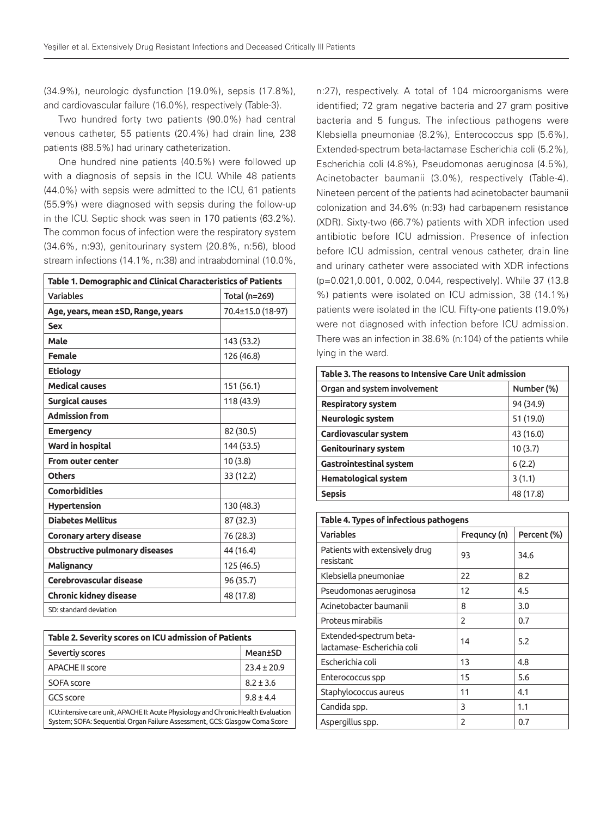(34.9%), neurologic dysfunction (19.0%), sepsis (17.8%), and cardiovascular failure (16.0%), respectively (Table-3).

Two hundred forty two patients (90.0%) had central venous catheter, 55 patients (20.4%) had drain line, 238 patients (88.5%) had urinary catheterization.

One hundred nine patients (40.5%) were followed up with a diagnosis of sepsis in the ICU. While 48 patients (44.0%) with sepsis were admitted to the ICU, 61 patients (55.9%) were diagnosed with sepsis during the follow-up in the ICU. Septic shock was seen in 170 patients (63.2%). The common focus of infection were the respiratory system (34.6%, n:93), genitourinary system (20.8%, n:56), blood stream infections (14.1%, n:38) and intraabdominal (10.0%,

| Table 1. Demographic and Clinical Characteristics of Patients |                   |  |  |
|---------------------------------------------------------------|-------------------|--|--|
| Variables                                                     | Total (n=269)     |  |  |
| Age, years, mean ±SD, Range, years                            | 70.4±15.0 (18-97) |  |  |
| <b>Sex</b>                                                    |                   |  |  |
| Male                                                          | 143 (53.2)        |  |  |
| <b>Female</b>                                                 | 126 (46.8)        |  |  |
| <b>Etiology</b>                                               |                   |  |  |
| <b>Medical causes</b>                                         | 151 (56.1)        |  |  |
| <b>Surgical causes</b>                                        | 118 (43.9)        |  |  |
| <b>Admission from</b>                                         |                   |  |  |
| <b>Emergency</b>                                              | 82 (30.5)         |  |  |
| <b>Ward in hospital</b>                                       | 144 (53.5)        |  |  |
| <b>From outer center</b>                                      | 10(3.8)           |  |  |
| <b>Others</b>                                                 | 33 (12.2)         |  |  |
| <b>Comorbidities</b>                                          |                   |  |  |
| <b>Hypertension</b>                                           | 130 (48.3)        |  |  |
| <b>Diabetes Mellitus</b>                                      | 87 (32.3)         |  |  |
| <b>Coronary artery disease</b>                                | 76 (28.3)         |  |  |
| <b>Obstructive pulmonary diseases</b>                         | 44 (16.4)         |  |  |
| Malignancy                                                    | 125 (46.5)        |  |  |
| Cerebrovascular disease                                       | 96 (35.7)         |  |  |
| <b>Chronic kidney disease</b>                                 | 48 (17.8)         |  |  |
| SD: standard deviation                                        |                   |  |  |

| Table 2. Severity scores on ICU admission of Patients                                                                                                             |                 |  |  |
|-------------------------------------------------------------------------------------------------------------------------------------------------------------------|-----------------|--|--|
| Severtiy scores                                                                                                                                                   | Mean±SD         |  |  |
| <b>APACHE II score</b>                                                                                                                                            | $23.4 \pm 20.9$ |  |  |
| SOFA score                                                                                                                                                        | $8.2 \pm 3.6$   |  |  |
| GCS score                                                                                                                                                         | $9.8 \pm 4.4$   |  |  |
| ICU: intensive care unit, APACHE II: Acute Physiology and Chronic Health Evaluation<br>System; SOFA: Sequential Organ Failure Assessment, GCS: Glasgow Coma Score |                 |  |  |

n:27), respectively. A total of 104 microorganisms were identified: 72 gram negative bacteria and 27 gram positive bacteria and 5 fungus. The infectious pathogens were Klebsiella pneumoniae (8.2%), Enterococcus spp (5.6%), Extended-spectrum beta-lactamase Escherichia coli (5.2%), Escherichia coli (4.8%), Pseudomonas aeruginosa (4.5%), Acinetobacter baumanii (3.0%), respectively (Table-4). Nineteen percent of the patients had acinetobacter baumanii colonization and 34.6% (n:93) had carbapenem resistance (XDR). Sixty-two (66.7%) patients with XDR infection used antibiotic before ICU admission. Presence of infection before ICU admission, central venous catheter, drain line and urinary catheter were associated with XDR infections (p=0.021,0.001, 0.002, 0.044, respectively). While 37 (13.8 %) patients were isolated on ICU admission, 38 (14.1%) patients were isolated in the ICU. Fifty-one patients (19.0%) were not diagnosed with infection before ICU admission. There was an infection in 38.6% (n:104) of the patients while lying in the ward.

| Table 3. The reasons to Intensive Care Unit admission |            |  |  |  |
|-------------------------------------------------------|------------|--|--|--|
| Organ and system involvement                          | Number (%) |  |  |  |
| <b>Respiratory system</b>                             | 94 (34.9)  |  |  |  |
| Neurologic system                                     | 51 (19.0)  |  |  |  |
| Cardiovascular system                                 | 43 (16.0)  |  |  |  |
| <b>Genitourinary system</b>                           | 10(3.7)    |  |  |  |
| <b>Gastrointestinal system</b>                        | 6(2.2)     |  |  |  |
| <b>Hematological system</b>                           | 3(1.1)     |  |  |  |
| <b>Sepsis</b>                                         | 48 (17.8)  |  |  |  |

| Table 4. Types of infectious pathogens                 |              |             |  |  |  |
|--------------------------------------------------------|--------------|-------------|--|--|--|
| <b>Variables</b>                                       | Freguncy (n) | Percent (%) |  |  |  |
| Patients with extensively drug<br>resistant            | 93           | 34.6        |  |  |  |
| Klebsiella pneumoniae                                  | 22           | 8.2         |  |  |  |
| Pseudomonas aeruginosa                                 | 12           | 4.5         |  |  |  |
| Acinetobacter baumanii                                 | 8            | 3.0         |  |  |  |
| Proteus mirabilis                                      | 2            | 0.7         |  |  |  |
| Extended-spectrum beta-<br>lactamase- Escherichia coli | 14           | 5.2         |  |  |  |
| Escherichia coli                                       | 13           | 4.8         |  |  |  |
| Enterococcus spp                                       | 15           | 5.6         |  |  |  |
| Staphylococcus aureus                                  | 11           | 4.1         |  |  |  |
| Candida spp.                                           | 3            | 1.1         |  |  |  |
| Aspergillus spp.                                       | 2            | 0.7         |  |  |  |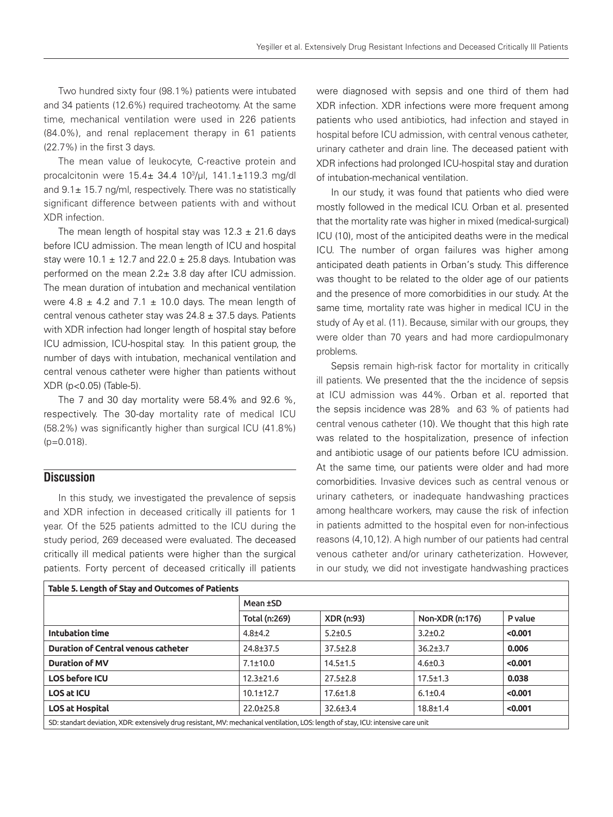Two hundred sixty four (98.1%) patients were intubated and 34 patients (12.6%) required tracheotomy. At the same time, mechanical ventilation were used in 226 patients (84.0%), and renal replacement therapy in 61 patients (22.7%) in the first 3 days.

The mean value of leukocyte, C-reactive protein and procalcitonin were 15.4± 34.4 103 /µl, 141.1±119.3 mg/dl and  $9.1\pm 15.7$  ng/ml, respectively. There was no statistically significant difference between patients with and without XDR infection.

The mean length of hospital stay was  $12.3 \pm 21.6$  days before ICU admission. The mean length of ICU and hospital stay were 10.1  $\pm$  12.7 and 22.0  $\pm$  25.8 days. Intubation was performed on the mean 2.2± 3.8 day after ICU admission. The mean duration of intubation and mechanical ventilation were 4.8  $\pm$  4.2 and 7.1  $\pm$  10.0 days. The mean length of central venous catheter stay was  $24.8 \pm 37.5$  days. Patients with XDR infection had longer length of hospital stay before ICU admission, ICU-hospital stay. In this patient group, the number of days with intubation, mechanical ventilation and central venous catheter were higher than patients without XDR (p<0.05) (Table-5).

The 7 and 30 day mortality were 58.4% and 92.6 %, respectively. The 30-day mortality rate of medical ICU (58.2%) was significantly higher than surgical ICU (41.8%)  $(p=0.018)$ .

## **Discussion**

In this study, we investigated the prevalence of sepsis and XDR infection in deceased critically ill patients for 1 year. Of the 525 patients admitted to the ICU during the study period, 269 deceased were evaluated. The deceased critically ill medical patients were higher than the surgical patients. Forty percent of deceased critically ill patients

were diagnosed with sepsis and one third of them had XDR infection. XDR infections were more frequent among patients who used antibiotics, had infection and stayed in hospital before ICU admission, with central venous catheter, urinary catheter and drain line. The deceased patient with XDR infections had prolonged ICU-hospital stay and duration of intubation-mechanical ventilation.

In our study, it was found that patients who died were mostly followed in the medical ICU. Orban et al. presented that the mortality rate was higher in mixed (medical-surgical) ICU (10), most of the anticipited deaths were in the medical ICU. The number of organ failures was higher among anticipated death patients in Orban's study. This difference was thought to be related to the older age of our patients and the presence of more comorbidities in our study. At the same time, mortality rate was higher in medical ICU in the study of Ay et al. (11). Because, similar with our groups, they were older than 70 years and had more cardiopulmonary problems.

Sepsis remain high-risk factor for mortality in critically ill patients. We presented that the the incidence of sepsis at ICU admission was 44%. Orban et al. reported that the sepsis incidence was 28% and 63 % of patients had central venous catheter (10). We thought that this high rate was related to the hospitalization, presence of infection and antibiotic usage of our patients before ICU admission. At the same time, our patients were older and had more comorbidities. Invasive devices such as central venous or urinary catheters, or inadequate handwashing practices among healthcare workers, may cause the risk of infection in patients admitted to the hospital even for non-infectious reasons (4,10,12). A high number of our patients had central venous catheter and/or urinary catheterization. However, in our study, we did not investigate handwashing practices

| Table 5. Length of Stay and Outcomes of Patients                                                                                   |                 |                   |                 |         |  |  |
|------------------------------------------------------------------------------------------------------------------------------------|-----------------|-------------------|-----------------|---------|--|--|
|                                                                                                                                    | Mean ±SD        |                   |                 |         |  |  |
|                                                                                                                                    | Total (n:269)   | <b>XDR (n:93)</b> | Non-XDR (n:176) | P value |  |  |
| Intubation time                                                                                                                    | $4.8 + 4.2$     | $5.2 \pm 0.5$     | $3.2 \pm 0.2$   | < 0.001 |  |  |
| <b>Duration of Central venous catheter</b>                                                                                         | 24.8±37.5       | $37.5 \pm 2.8$    | $36.2 \pm 3.7$  | 0.006   |  |  |
| <b>Duration of MV</b>                                                                                                              | $7.1 \pm 10.0$  | $14.5 \pm 1.5$    | $4.6 \pm 0.3$   | < 0.001 |  |  |
| <b>LOS before ICU</b>                                                                                                              | $12.3 \pm 21.6$ | $27.5 \pm 2.8$    | $17.5 \pm 1.3$  | 0.038   |  |  |
| <b>LOS at ICU</b>                                                                                                                  | $10.1 \pm 12.7$ | $17.6 \pm 1.8$    | $6.1 \pm 0.4$   | < 0.001 |  |  |
| <b>LOS at Hospital</b>                                                                                                             | $22.0+25.8$     | $32.6 \pm 3.4$    | $18.8 + 1.4$    | < 0.001 |  |  |
| SD: standart deviation, XDR: extensively drug resistant, MV: mechanical ventilation, LOS: length of stay, ICU: intensive care unit |                 |                   |                 |         |  |  |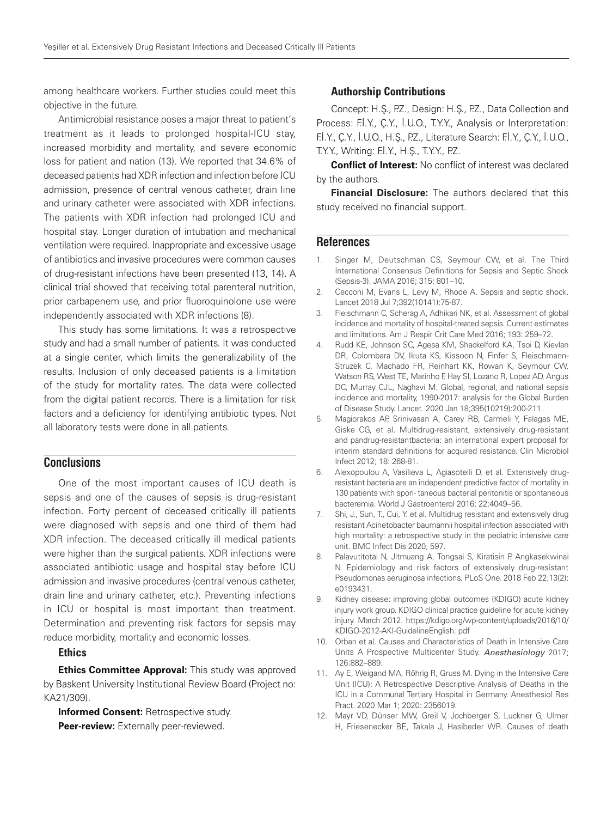among healthcare workers. Further studies could meet this objective in the future.

Antimicrobial resistance poses a major threat to patient's treatment as it leads to prolonged hospital-ICU stay, increased morbidity and mortality, and severe economic loss for patient and nation (13). We reported that 34.6% of deceased patients had XDR infection and infection before ICU admission, presence of central venous catheter, drain line and urinary catheter were associated with XDR infections. The patients with XDR infection had prolonged ICU and hospital stay. Longer duration of intubation and mechanical ventilation were required. Inappropriate and excessive usage of antibiotics and invasive procedures were common causes of drug-resistant infections have been presented (13, 14). A clinical trial showed that receiving total parenteral nutrition, prior carbapenem use, and prior fluoroquinolone use were independently associated with XDR infections (8).

This study has some limitations. It was a retrospective study and had a small number of patients. It was conducted at a single center, which limits the generalizability of the results. Inclusion of only deceased patients is a limitation of the study for mortality rates. The data were collected from the digital patient records. There is a limitation for risk factors and a deficiency for identifying antibiotic types. Not all laboratory tests were done in all patients.

## **Conclusions**

One of the most important causes of ICU death is sepsis and one of the causes of sepsis is drug-resistant infection. Forty percent of deceased critically ill patients were diagnosed with sepsis and one third of them had XDR infection. The deceased critically ill medical patients were higher than the surgical patients. XDR infections were associated antibiotic usage and hospital stay before ICU admission and invasive procedures (central venous catheter, drain line and urinary catheter, etc.). Preventing infections in ICU or hospital is most important than treatment. Determination and preventing risk factors for sepsis may reduce morbidity, mortality and economic losses.

#### Ethics

**Ethics Committee Approval:** This study was approved by Baskent University Institutional Review Board (Project no: KA21/309).

**Informed Consent: Retrospective study. Peer-review:** Externally peer-reviewed.

### Authorship Contributions

Concept: H.S., P.Z., Design: H.S., P.Z., Data Collection and Process: F.İ.Y., Ç.Y., İ.U.O., T.Y.Y., Analysis or Interpretation: F.İ.Y., Ç.Y., İ.U.O., H.Ş., P.Z., Literature Search: F.İ.Y., Ç.Y., İ.U.O., T.Y.Y., Writing: F.İ.Y., H.Ş., T.Y.Y., P.Z.

**Conflict of Interest:** No conflict of interest was declared by the authors.

**Financial Disclosure:** The authors declared that this study received no financial support.

#### **References**

- 1. Singer M, Deutschman CS, Seymour CW, et al. The Third International Consensus Definitions for Sepsis and Septic Shock (Sepsis-3). JAMA 2016; 315: 801–10.
- 2. Cecconi M, Evans L, Levy M, Rhode A. Sepsis and septic shock. Lancet 2018 Jul 7;392(10141):75-87.
- 3. Fleischmann C, Scherag A, Adhikari NK, et al. Assessment of global incidence and mortality of hospital-treated sepsis. Current estimates and limitations. Am J Respir Crit Care Med 2016; 193: 259–72.
- 4. Rudd KE, Johnson SC, Agesa KM, Shackelford KA, Tsoi D, Kievlan DR, Colombara DV, Ikuta KS, Kissoon N, Finfer S, Fleischmann-Struzek C, Machado FR, Reinhart KK, Rowan K, Seymour CW, Watson RS, West TE, Marinho F, Hay SI, Lozano R, Lopez AD, Angus DC, Murray CJL, Naghavi M. Global, regional, and national sepsis incidence and mortality, 1990-2017: analysis for the Global Burden of Disease Study. Lancet. 2020 Jan 18;395(10219):200-211.
- 5. Magiorakos AP, Srinivasan A, Carey RB, Carmeli Y, Falagas ME, Giske CG, et al. Multidrug-resistant, extensively drug-resistant and pandrug-resistantbacteria: an international expert proposal for interim standard definitions for acquired resistance. Clin Microbiol Infect 2012; 18: 268-81.
- 6. Alexopoulou A, Vasilieva L, Agiasotelli D, et al. Extensively drugresistant bacteria are an independent predictive factor of mortality in 130 patients with spon- taneous bacterial peritonitis or spontaneous bacteremia. World J Gastroenterol 2016; 22:4049–56.
- 7. Shi, J., Sun, T., Cui, Y. et al. Multidrug resistant and extensively drug resistant Acinetobacter baumannii hospital infection associated with high mortality: a retrospective study in the pediatric intensive care unit. BMC Infect Dis 2020, 597.
- 8. Palavutitotai N, Jitmuang A, Tongsai S, Kiratisin P, Angkasekwinai N. Epidemiology and risk factors of extensively drug-resistant Pseudomonas aeruginosa infections. PLoS One. 2018 Feb 22;13(2): e0193431.
- 9. Kidney disease: improving global outcomes (KDIGO) acute kidney injury work group. KDIGO clinical practice guideline for acute kidney injury. March 2012. https://kdigo.org/wp-content/uploads/2016/10/ KDIGO-2012-AKI-GuidelineEnglish. pdf
- 10. Orban et al. Causes and Characteristics of Death in Intensive Care Units A Prospective Multicenter Study. *Anesthesiology* 2017; 126:882–889.
- 11. Ay E, Weigand MA, Röhrig R, Gruss M. Dying in the Intensive Care Unit (ICU): A Retrospective Descriptive Analysis of Deaths in the ICU in a Communal Tertiary Hospital in Germany. Anesthesiol Res Pract. 2020 Mar 1; 2020: 2356019.
- 12. Mayr VD, Dünser MW, Greil V, Jochberger S, Luckner G, Ulmer H, Friesenecker BE, Takala J, Hasibeder WR. Causes of death